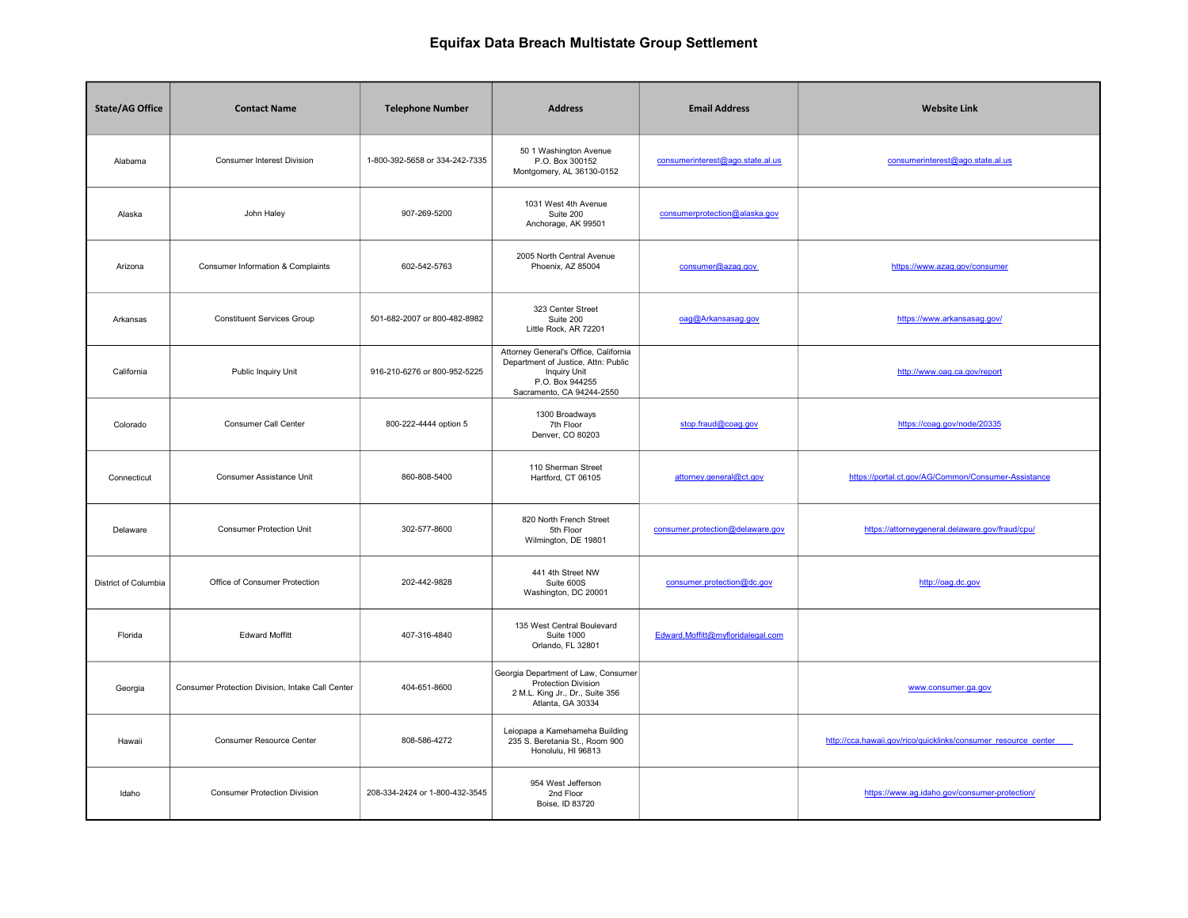| <b>State/AG Office</b> | <b>Contact Name</b>                              | <b>Telephone Number</b>        | <b>Address</b>                                                                                                                                      | <b>Email Address</b>              | <b>Website Link</b>                                             |
|------------------------|--------------------------------------------------|--------------------------------|-----------------------------------------------------------------------------------------------------------------------------------------------------|-----------------------------------|-----------------------------------------------------------------|
| Alabama                | <b>Consumer Interest Division</b>                | 1-800-392-5658 or 334-242-7335 | 50 1 Washington Avenue<br>P.O. Box 300152<br>Montgomery, AL 36130-0152                                                                              | consumerinterest@ago.state.al.us  | consumerinterest@ago.state.al.us                                |
| Alaska                 | John Haley                                       | 907-269-5200                   | 1031 West 4th Avenue<br>Suite 200<br>Anchorage, AK 99501                                                                                            | consumerprotection@alaska.gov     |                                                                 |
| Arizona                | Consumer Information & Complaints                | 602-542-5763                   | 2005 North Central Avenue<br>Phoenix, AZ 85004                                                                                                      | consumer@azag.gov                 | https://www.azag.gov/consumer                                   |
| Arkansas               | <b>Constituent Services Group</b>                | 501-682-2007 or 800-482-8982   | 323 Center Street<br>Suite 200<br>Little Rock, AR 72201                                                                                             | oag@Arkansasag.gov                | https://www.arkansasag.gov/                                     |
| California             | Public Inquiry Unit                              | 916-210-6276 or 800-952-5225   | Attorney General's Office, California<br>Department of Justice, Attn: Public<br><b>Inquiry Unit</b><br>P.O. Box 944255<br>Sacramento, CA 94244-2550 |                                   | http://www.oag.ca.gov/report                                    |
| Colorado               | Consumer Call Center                             | 800-222-4444 option 5          | 1300 Broadways<br>7th Floor<br>Denver, CO 80203                                                                                                     | stop.fraud@coag.gov               | https://coag.gov/node/20335                                     |
| Connecticut            | Consumer Assistance Unit                         | 860-808-5400                   | 110 Sherman Street<br>Hartford, CT 06105                                                                                                            | attorney.general@ct.gov           | https://portal.ct.gov/AG/Common/Consumer-Assistance             |
| Delaware               | <b>Consumer Protection Unit</b>                  | 302-577-8600                   | 820 North French Street<br>5th Floor<br>Wilmington, DE 19801                                                                                        | consumer.protection@delaware.gov  | https://attorneygeneral.delaware.gov/fraud/cpu/                 |
| District of Columbia   | Office of Consumer Protection                    | 202-442-9828                   | 441 4th Street NW<br>Suite 600S<br>Washington, DC 20001                                                                                             | consumer.protection@dc.gov        | http://oag.dc.gov                                               |
| Florida                | <b>Edward Moffitt</b>                            | 407-316-4840                   | 135 West Central Boulevard<br><b>Suite 1000</b><br>Orlando, FL 32801                                                                                | Edward.Moffitt@myfloridalegal.com |                                                                 |
| Georgia                | Consumer Protection Division, Intake Call Center | 404-651-8600                   | Georgia Department of Law, Consumer<br>Protection Division<br>2 M.L. King Jr., Dr., Suite 356<br>Atlanta, GA 30334                                  |                                   | www.consumer.ga.gov                                             |
| Hawaii                 | Consumer Resource Center                         | 808-586-4272                   | Leiopapa a Kamehameha Building<br>235 S. Beretania St., Room 900<br>Honolulu, HI 96813                                                              |                                   | http://cca.hawaii.gov/rico/quicklinks/consumer_resource_center_ |
| Idaho                  | <b>Consumer Protection Division</b>              | 208-334-2424 or 1-800-432-3545 | 954 West Jefferson<br>2nd Floor<br>Boise, ID 83720                                                                                                  |                                   | https://www.ag.idaho.gov/consumer-protection/                   |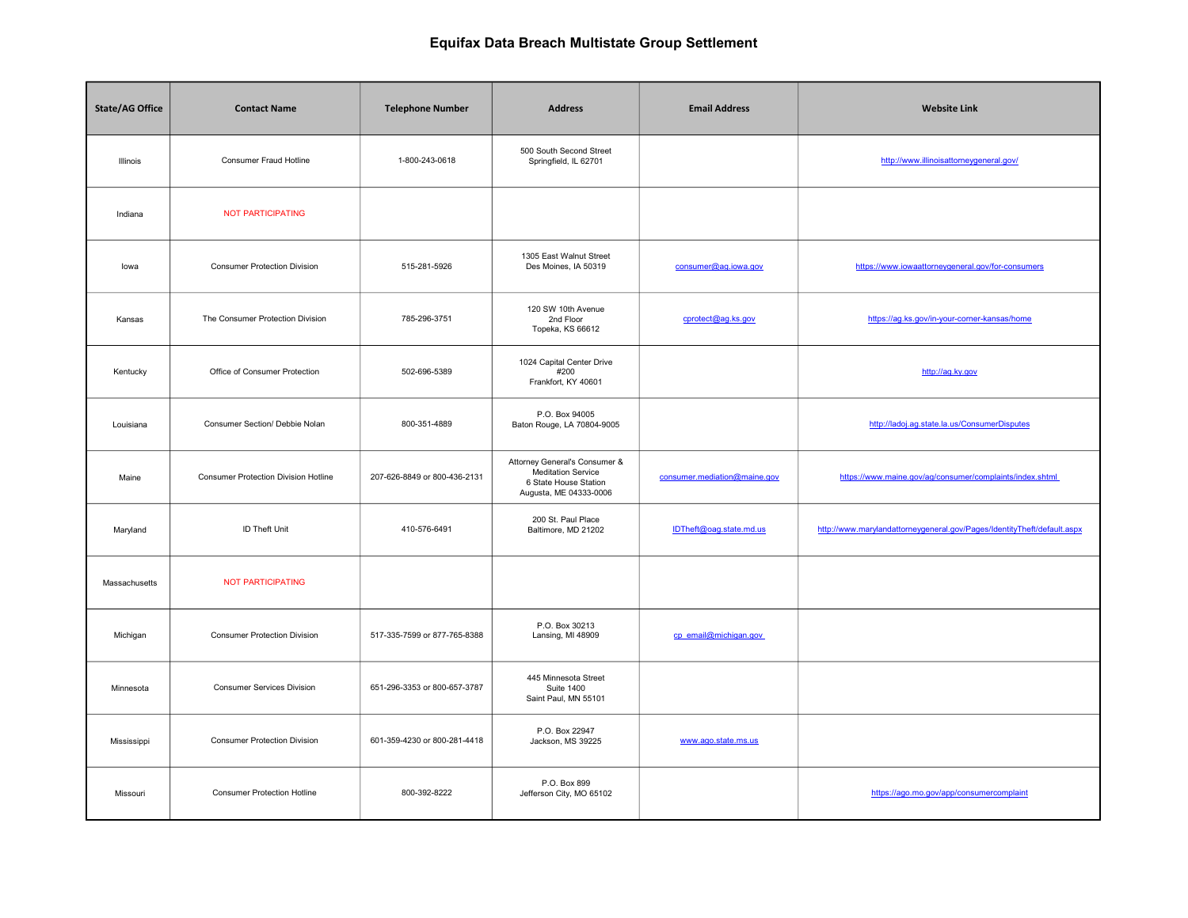| <b>State/AG Office</b> | <b>Contact Name</b>                         | <b>Telephone Number</b>      | <b>Address</b>                                                                                         | <b>Email Address</b>         | <b>Website Link</b>                                                     |
|------------------------|---------------------------------------------|------------------------------|--------------------------------------------------------------------------------------------------------|------------------------------|-------------------------------------------------------------------------|
| Illinois               | Consumer Fraud Hotline                      | 1-800-243-0618               | 500 South Second Street<br>Springfield, IL 62701                                                       |                              | http://www.illinoisattorneygeneral.gov/                                 |
| Indiana                | <b>NOT PARTICIPATING</b>                    |                              |                                                                                                        |                              |                                                                         |
| lowa                   | <b>Consumer Protection Division</b>         | 515-281-5926                 | 1305 East Walnut Street<br>Des Moines, IA 50319                                                        | consumer@ag.iowa.gov         | https://www.iowaattorneygeneral.gov/for-consumers                       |
| Kansas                 | The Consumer Protection Division            | 785-296-3751                 | 120 SW 10th Avenue<br>2nd Floor<br>Topeka, KS 66612                                                    | cprotect@ag.ks.gov           | https://ag.ks.gov/in-your-corner-kansas/home                            |
| Kentucky               | Office of Consumer Protection               | 502-696-5389                 | 1024 Capital Center Drive<br>#200<br>Frankfort, KY 40601                                               |                              | http://ag.ky.gov                                                        |
| Louisiana              | Consumer Section/ Debbie Nolan              | 800-351-4889                 | P.O. Box 94005<br>Baton Rouge, LA 70804-9005                                                           |                              | http://ladoj.ag.state.la.us/ConsumerDisputes                            |
| Maine                  | <b>Consumer Protection Division Hotline</b> | 207-626-8849 or 800-436-2131 | Attorney General's Consumer &<br>Meditation Service<br>6 State House Station<br>Augusta, ME 04333-0006 | consumer.mediation@maine.gov | https://www.maine.gov/ag/consumer/complaints/index.shtml                |
| Maryland               | <b>ID Theft Unit</b>                        | 410-576-6491                 | 200 St. Paul Place<br>Baltimore, MD 21202                                                              | IDTheft@oag.state.md.us      | http://www.marylandattorneygeneral.gov/Pages/IdentityTheft/default.aspx |
| Massachusetts          | <b>NOT PARTICIPATING</b>                    |                              |                                                                                                        |                              |                                                                         |
| Michigan               | <b>Consumer Protection Division</b>         | 517-335-7599 or 877-765-8388 | P.O. Box 30213<br>Lansing, MI 48909                                                                    | cp email@michigan.gov        |                                                                         |
| Minnesota              | <b>Consumer Services Division</b>           | 651-296-3353 or 800-657-3787 | 445 Minnesota Street<br><b>Suite 1400</b><br>Saint Paul, MN 55101                                      |                              |                                                                         |
| Mississippi            | <b>Consumer Protection Division</b>         | 601-359-4230 or 800-281-4418 | P.O. Box 22947<br>Jackson, MS 39225                                                                    | www.ago.state.ms.us          |                                                                         |
| Missouri               | <b>Consumer Protection Hotline</b>          | 800-392-8222                 | P.O. Box 899<br>Jefferson City, MO 65102                                                               |                              | https://ago.mo.gov/app/consumercomplaint                                |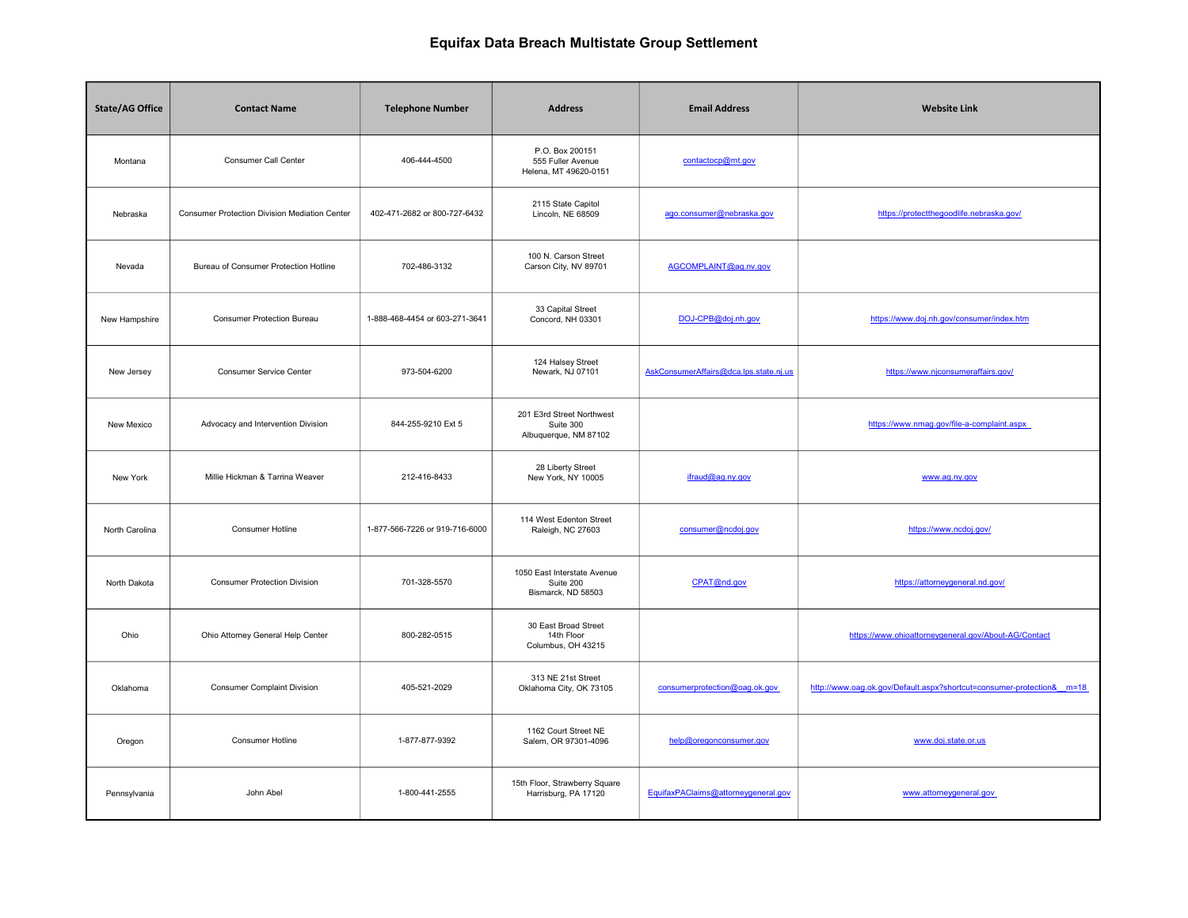| <b>State/AG Office</b> | <b>Contact Name</b>                           | <b>Telephone Number</b>        | <b>Address</b>                                                  | <b>Email Address</b>                   | <b>Website Link</b>                                                  |
|------------------------|-----------------------------------------------|--------------------------------|-----------------------------------------------------------------|----------------------------------------|----------------------------------------------------------------------|
| Montana                | Consumer Call Center                          | 406-444-4500                   | P.O. Box 200151<br>555 Fuller Avenue<br>Helena, MT 49620-0151   | contactocp@mt.gov                      |                                                                      |
| Nebraska               | Consumer Protection Division Mediation Center | 402-471-2682 or 800-727-6432   | 2115 State Capitol<br>Lincoln, NE 68509                         | ago.consumer@nebraska.gov              | https://protectthegoodlife.nebraska.gov/                             |
| Nevada                 | Bureau of Consumer Protection Hotline         | 702-486-3132                   | 100 N. Carson Street<br>Carson City, NV 89701                   | AGCOMPLAINT@ag.nv.gov                  |                                                                      |
| New Hampshire          | <b>Consumer Protection Bureau</b>             | 1-888-468-4454 or 603-271-3641 | 33 Capital Street<br>Concord, NH 03301                          | DOJ-CPB@doj.nh.gov                     | https://www.doj.nh.gov/consumer/index.htm                            |
| New Jersey             | Consumer Service Center                       | 973-504-6200                   | 124 Halsey Street<br>Newark, NJ 07101                           | AskConsumerAffairs@dca.lps.state.nj.us | https://www.njconsumeraffairs.gov/                                   |
| New Mexico             | Advocacy and Intervention Division            | 844-255-9210 Ext 5             | 201 E3rd Street Northwest<br>Suite 300<br>Albuquerque, NM 87102 |                                        | https://www.nmag.gov/file-a-complaint.aspx                           |
| New York               | Millie Hickman & Tarrina Weaver               | 212-416-8433                   | 28 Liberty Street<br>New York, NY 10005                         | ifraud@ag.ny.gov                       | www.ag.ny.gov                                                        |
| North Carolina         | Consumer Hotline                              | 1-877-566-7226 or 919-716-6000 | 114 West Edenton Street<br>Raleigh, NC 27603                    | consumer@ncdoj.gov                     | https://www.ncdoj.gov/                                               |
| North Dakota           | <b>Consumer Protection Division</b>           | 701-328-5570                   | 1050 East Interstate Avenue<br>Suite 200<br>Bismarck, ND 58503  | CPAT@nd.gov                            | https://attorneygeneral.nd.gov/                                      |
| Ohio                   | Ohio Attorney General Help Center             | 800-282-0515                   | 30 East Broad Street<br>14th Floor<br>Columbus, OH 43215        |                                        | https://www.ohioattorneygeneral.gov/About-AG/Contact                 |
| Oklahoma               | <b>Consumer Complaint Division</b>            | 405-521-2029                   | 313 NE 21st Street<br>Oklahoma City, OK 73105                   | consumerprotection@oag.ok.gov          | http://www.oag.ok.gov/Default.aspx?shortcut=consumer-protection&m=18 |
| Oregon                 | <b>Consumer Hotline</b>                       | 1-877-877-9392                 | 1162 Court Street NE<br>Salem, OR 97301-4096                    | help@oregonconsumer.gov                | www.doj.state.or.us                                                  |
| Pennsylvania           | John Abel                                     | 1-800-441-2555                 | 15th Floor, Strawberry Square<br>Harrisburg, PA 17120           | EquifaxPAClaims@attorneygeneral.gov    | www.attorneygeneral.gov                                              |